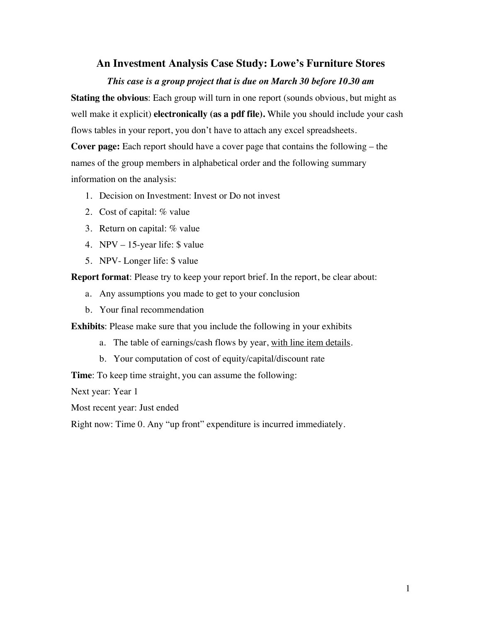### **An Investment Analysis Case Study: Lowe's Furniture Stores**

#### *This case is a group project that is due on March 30 before 10.30 am*

**Stating the obvious**: Each group will turn in one report (sounds obvious, but might as well make it explicit) **electronically (as a pdf file).** While you should include your cash flows tables in your report, you don't have to attach any excel spreadsheets.

**Cover page:** Each report should have a cover page that contains the following – the names of the group members in alphabetical order and the following summary information on the analysis:

- 1. Decision on Investment: Invest or Do not invest
- 2. Cost of capital: % value
- 3. Return on capital: % value
- 4. NPV 15-year life: \$ value
- 5. NPV- Longer life: \$ value

**Report format**: Please try to keep your report brief. In the report, be clear about:

- a. Any assumptions you made to get to your conclusion
- b. Your final recommendation

**Exhibits**: Please make sure that you include the following in your exhibits

- a. The table of earnings/cash flows by year, with line item details.
- b. Your computation of cost of equity/capital/discount rate

**Time**: To keep time straight, you can assume the following:

Next year: Year 1

Most recent year: Just ended

Right now: Time 0. Any "up front" expenditure is incurred immediately.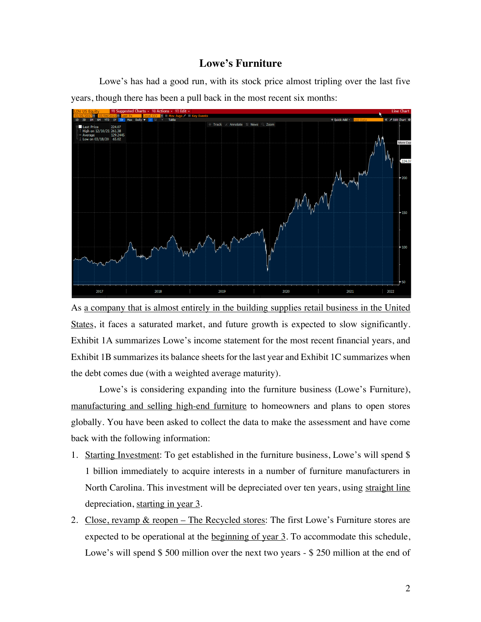### **Lowe's Furniture**

Lowe's has had a good run, with its stock price almost tripling over the last five years, though there has been a pull back in the most recent six months:



As a company that is almost entirely in the building supplies retail business in the United States, it faces a saturated market, and future growth is expected to slow significantly. Exhibit 1A summarizes Lowe's income statement for the most recent financial years, and Exhibit 1B summarizes its balance sheets for the last year and Exhibit 1C summarizes when the debt comes due (with a weighted average maturity).

Lowe's is considering expanding into the furniture business (Lowe's Furniture), manufacturing and selling high-end furniture to homeowners and plans to open stores globally. You have been asked to collect the data to make the assessment and have come back with the following information:

- 1. Starting Investment: To get established in the furniture business, Lowe's will spend \$ 1 billion immediately to acquire interests in a number of furniture manufacturers in North Carolina. This investment will be depreciated over ten years, using straight line depreciation, starting in year 3.
- 2. Close, revamp & reopen The Recycled stores: The first Lowe's Furniture stores are expected to be operational at the beginning of year 3. To accommodate this schedule, Lowe's will spend \$500 million over the next two years - \$250 million at the end of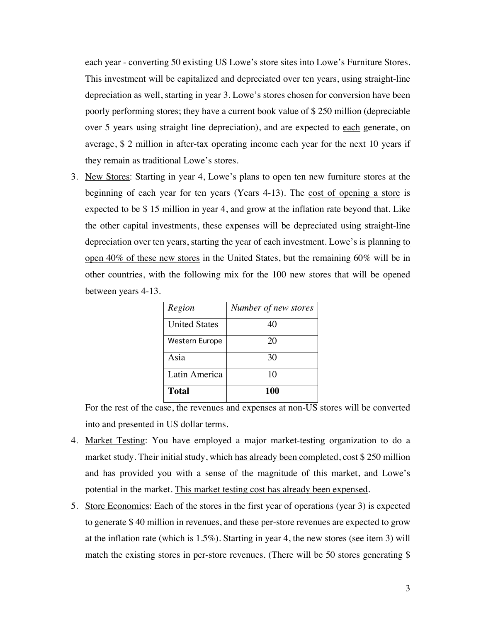each year - converting 50 existing US Lowe's store sites into Lowe's Furniture Stores. This investment will be capitalized and depreciated over ten years, using straight-line depreciation as well, starting in year 3. Lowe's stores chosen for conversion have been poorly performing stores; they have a current book value of \$ 250 million (depreciable over 5 years using straight line depreciation), and are expected to each generate, on average, \$ 2 million in after-tax operating income each year for the next 10 years if they remain as traditional Lowe's stores.

3. New Stores: Starting in year 4, Lowe's plans to open ten new furniture stores at the beginning of each year for ten years (Years 4-13). The cost of opening a store is expected to be \$ 15 million in year 4, and grow at the inflation rate beyond that. Like the other capital investments, these expenses will be depreciated using straight-line depreciation over ten years, starting the year of each investment. Lowe's is planning to open 40% of these new stores in the United States, but the remaining 60% will be in other countries, with the following mix for the 100 new stores that will be opened between years 4-13.

| Region                | Number of new stores |
|-----------------------|----------------------|
| <b>United States</b>  | 40                   |
| <b>Western Europe</b> | 20                   |
| Asia                  | 30                   |
| Latin America         | 10                   |
| <b>Total</b>          | 100                  |

For the rest of the case, the revenues and expenses at non-US stores will be converted into and presented in US dollar terms.

- 4. Market Testing: You have employed a major market-testing organization to do a market study. Their initial study, which has already been completed, cost \$250 million and has provided you with a sense of the magnitude of this market, and Lowe's potential in the market. This market testing cost has already been expensed.
- 5. Store Economics: Each of the stores in the first year of operations (year 3) is expected to generate \$ 40 million in revenues, and these per-store revenues are expected to grow at the inflation rate (which is 1.5%). Starting in year 4, the new stores (see item 3) will match the existing stores in per-store revenues. (There will be 50 stores generating \$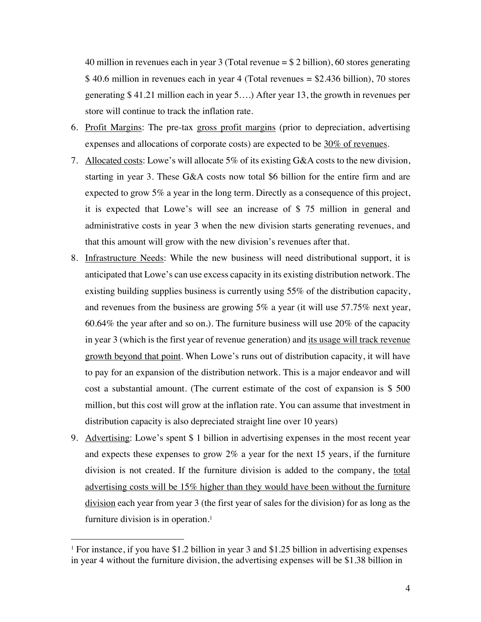40 million in revenues each in year 3 (Total revenue  $= $2$  billion), 60 stores generating \$ 40.6 million in revenues each in year 4 (Total revenues = \$2.436 billion), 70 stores generating \$ 41.21 million each in year 5….) After year 13, the growth in revenues per store will continue to track the inflation rate.

- 6. Profit Margins: The pre-tax gross profit margins (prior to depreciation, advertising expenses and allocations of corporate costs) are expected to be  $30\%$  of revenues.
- 7. Allocated costs: Lowe's will allocate 5% of its existing G&A costs to the new division, starting in year 3. These G&A costs now total \$6 billion for the entire firm and are expected to grow 5% a year in the long term. Directly as a consequence of this project, it is expected that Lowe's will see an increase of \$ 75 million in general and administrative costs in year 3 when the new division starts generating revenues, and that this amount will grow with the new division's revenues after that.
- 8. Infrastructure Needs: While the new business will need distributional support, it is anticipated that Lowe's can use excess capacity in its existing distribution network. The existing building supplies business is currently using 55% of the distribution capacity, and revenues from the business are growing 5% a year (it will use 57.75% next year, 60.64% the year after and so on.). The furniture business will use 20% of the capacity in year 3 (which is the first year of revenue generation) and its usage will track revenue growth beyond that point. When Lowe's runs out of distribution capacity, it will have to pay for an expansion of the distribution network. This is a major endeavor and will cost a substantial amount. (The current estimate of the cost of expansion is \$ 500 million, but this cost will grow at the inflation rate. You can assume that investment in distribution capacity is also depreciated straight line over 10 years)
- 9. Advertising: Lowe's spent \$ 1 billion in advertising expenses in the most recent year and expects these expenses to grow 2% a year for the next 15 years, if the furniture division is not created. If the furniture division is added to the company, the total advertising costs will be 15% higher than they would have been without the furniture division each year from year 3 (the first year of sales for the division) for as long as the furniture division is in operation. 1

<sup>&</sup>lt;sup>1</sup> For instance, if you have \$1.2 billion in year 3 and \$1.25 billion in advertising expenses in year 4 without the furniture division, the advertising expenses will be \$1.38 billion in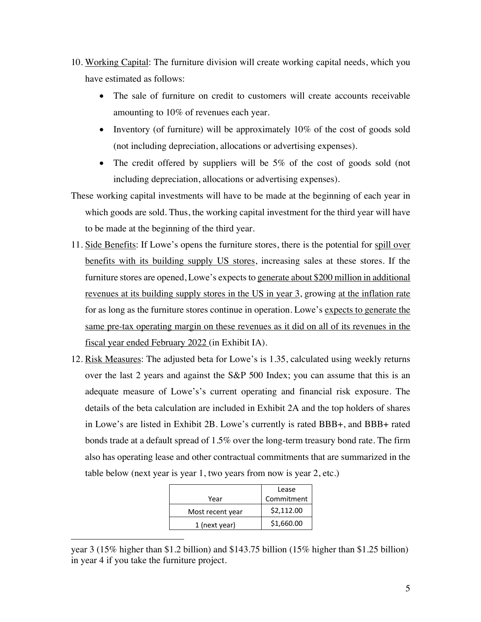- 10. Working Capital: The furniture division will create working capital needs, which you have estimated as follows:
	- The sale of furniture on credit to customers will create accounts receivable amounting to 10% of revenues each year.
	- Inventory (of furniture) will be approximately 10% of the cost of goods sold (not including depreciation, allocations or advertising expenses).
	- The credit offered by suppliers will be 5% of the cost of goods sold (not including depreciation, allocations or advertising expenses).
- These working capital investments will have to be made at the beginning of each year in which goods are sold. Thus, the working capital investment for the third year will have to be made at the beginning of the third year.
- 11. Side Benefits: If Lowe's opens the furniture stores, there is the potential for spill over benefits with its building supply US stores, increasing sales at these stores. If the furniture stores are opened, Lowe's expects to generate about \$200 million in additional revenues at its building supply stores in the US in year 3, growing at the inflation rate for as long as the furniture stores continue in operation. Lowe's expects to generate the same pre-tax operating margin on these revenues as it did on all of its revenues in the fiscal year ended February 2022 (in Exhibit IA).
- 12. Risk Measures: The adjusted beta for Lowe's is 1.35, calculated using weekly returns over the last 2 years and against the S&P 500 Index; you can assume that this is an adequate measure of Lowe's's current operating and financial risk exposure. The details of the beta calculation are included in Exhibit 2A and the top holders of shares in Lowe's are listed in Exhibit 2B. Lowe's currently is rated BBB+, and BBB+ rated bonds trade at a default spread of 1.5% over the long-term treasury bond rate. The firm also has operating lease and other contractual commitments that are summarized in the table below (next year is year 1, two years from now is year 2, etc.)

|                  | Lease      |
|------------------|------------|
| Year             | Commitment |
| Most recent year | \$2,112.00 |
| 1 (next year)    | \$1,660.00 |
|                  |            |

year 3 (15% higher than \$1.2 billion) and \$143.75 billion (15% higher than \$1.25 billion) in year 4 if you take the furniture project.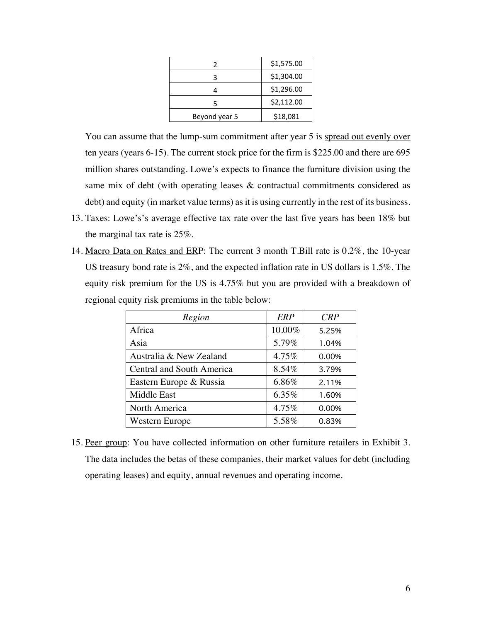|               | \$1,575.00 |
|---------------|------------|
|               | \$1,304.00 |
|               | \$1,296.00 |
| 5             | \$2,112.00 |
| Beyond year 5 | \$18,081   |

You can assume that the lump-sum commitment after year 5 is spread out evenly over ten years (years 6-15). The current stock price for the firm is \$225.00 and there are 695 million shares outstanding. Lowe's expects to finance the furniture division using the same mix of debt (with operating leases & contractual commitments considered as debt) and equity (in market value terms) as it is using currently in the rest of its business.

- 13. Taxes: Lowe's's average effective tax rate over the last five years has been 18% but the marginal tax rate is 25%.
- 14. Macro Data on Rates and ERP: The current 3 month T.Bill rate is 0.2%, the 10-year US treasury bond rate is 2%, and the expected inflation rate in US dollars is 1.5%. The equity risk premium for the US is 4.75% but you are provided with a breakdown of regional equity risk premiums in the table below:

| Region                    | ERP    | CRP   |
|---------------------------|--------|-------|
| Africa                    | 10.00% | 5.25% |
| Asia                      | 5.79%  | 1.04% |
| Australia & New Zealand   | 4.75%  | 0.00% |
| Central and South America | 8.54%  | 3.79% |
| Eastern Europe & Russia   | 6.86%  | 2.11% |
| <b>Middle East</b>        | 6.35%  | 1.60% |
| North America             | 4.75%  | 0.00% |
| Western Europe            | 5.58%  | 0.83% |

15. Peer group: You have collected information on other furniture retailers in Exhibit 3. The data includes the betas of these companies, their market values for debt (including operating leases) and equity, annual revenues and operating income.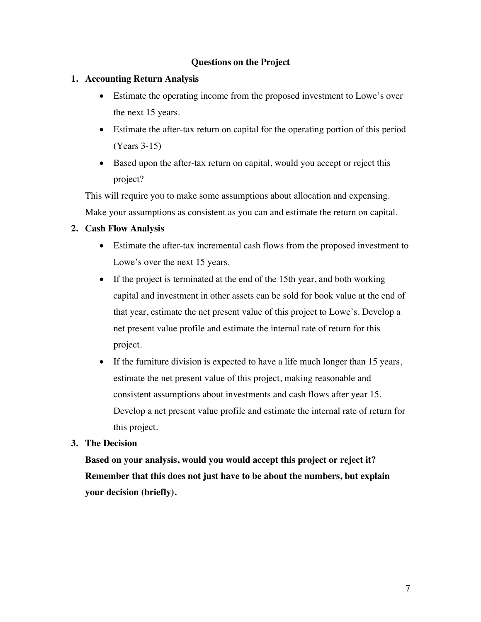### **Questions on the Project**

### **1. Accounting Return Analysis**

- Estimate the operating income from the proposed investment to Lowe's over the next 15 years.
- Estimate the after-tax return on capital for the operating portion of this period (Years 3-15)
- Based upon the after-tax return on capital, would you accept or reject this project?

This will require you to make some assumptions about allocation and expensing. Make your assumptions as consistent as you can and estimate the return on capital.

### **2. Cash Flow Analysis**

- Estimate the after-tax incremental cash flows from the proposed investment to Lowe's over the next 15 years.
- If the project is terminated at the end of the 15th year, and both working capital and investment in other assets can be sold for book value at the end of that year, estimate the net present value of this project to Lowe's. Develop a net present value profile and estimate the internal rate of return for this project.
- If the furniture division is expected to have a life much longer than 15 years, estimate the net present value of this project, making reasonable and consistent assumptions about investments and cash flows after year 15. Develop a net present value profile and estimate the internal rate of return for this project.

#### **3. The Decision**

**Based on your analysis, would you would accept this project or reject it? Remember that this does not just have to be about the numbers, but explain your decision (briefly).**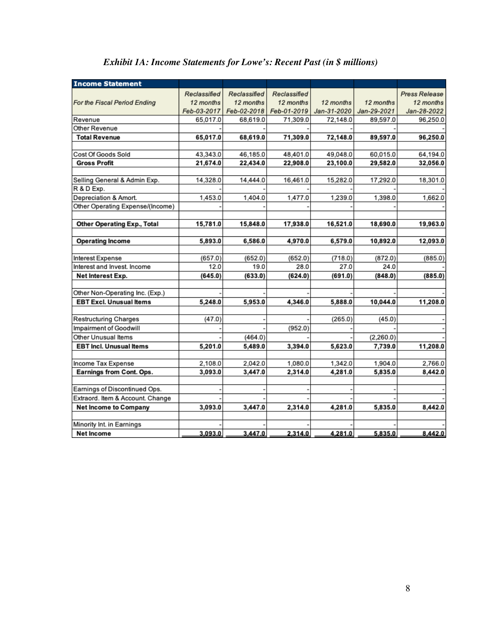| <b>Income Statement</b>                         |                 |                 |                 |                 |                 |                      |
|-------------------------------------------------|-----------------|-----------------|-----------------|-----------------|-----------------|----------------------|
|                                                 | Reclassified    | Reclassified    | Reclassified    |                 |                 | <b>Press Release</b> |
| For the Fiscal Period Ending                    | 12 months       | 12 months       | 12 months       | 12 months       | 12 months       | 12 months            |
|                                                 | Feb-03-2017     | Feb-02-2018     | Feb-01-2019     | Jan-31-2020     | Jan-29-2021     | Jan-28-2022          |
| Revenue                                         | 65,017.0        | 68,619.0        | 71,309.0        | 72,148.0        | 89,597.0        | 96,250.0             |
| Other Revenue                                   |                 |                 |                 |                 |                 |                      |
| <b>Total Revenue</b>                            | 65,017.0        | 68,619.0        | 71,309.0        | 72,148.0        | 89,597.0        | 96,250.0             |
|                                                 |                 |                 |                 |                 |                 |                      |
| Cost Of Goods Sold                              | 43,343.0        | 46,185.0        | 48,401.0        | 49,048.0        | 60,015.0        | 64,194.0             |
| <b>Gross Profit</b>                             | 21,674.0        | 22,434.0        | 22,908.0        | 23,100.0        | 29,582.0        | 32,056.0             |
|                                                 |                 |                 |                 |                 |                 |                      |
| Selling General & Admin Exp.                    | 14,328.0        | 14,444.0        | 16,461.0        | 15,282.0        | 17,292.0        | 18,301.0             |
| R & D Exp.                                      |                 |                 |                 |                 |                 |                      |
| Depreciation & Amort.                           | 1,453.0         | 1,404.0         | 1,477.0         | 1,239.0         | 1,398.0         | 1,662.0              |
| Other Operating Expense/(Income)                |                 |                 |                 |                 |                 |                      |
|                                                 |                 |                 |                 |                 |                 |                      |
| <b>Other Operating Exp., Total</b>              | 15,781.0        | 15,848.0        | 17,938.0        | 16,521.0        | 18,690.0        | 19,963.0             |
|                                                 |                 |                 |                 |                 |                 |                      |
| <b>Operating Income</b>                         | 5,893.0         | 6,586.0         | 4,970.0         | 6,579.0         | 10,892.0        | 12,093.0             |
|                                                 |                 |                 |                 |                 |                 |                      |
| Interest Expense<br>Interest and Invest. Income | (657.0)<br>12.0 | (652.0)<br>19.0 | (652.0)<br>28.0 | (718.0)<br>27.0 | (872.0)<br>24.0 | (885.0)              |
|                                                 |                 |                 |                 |                 |                 |                      |
| Net Interest Exp.                               | (645.0)         | (633.0)         | (624.0)         | (691.0)         | (848.0)         | (885.0)              |
| Other Non-Operating Inc. (Exp.)                 |                 |                 |                 |                 |                 |                      |
| <b>EBT Excl. Unusual Items</b>                  | 5,248.0         | 5,953.0         | 4,346.0         | 5,888.0         | 10,044.0        | 11,208.0             |
|                                                 |                 |                 |                 |                 |                 |                      |
| Restructuring Charges                           | (47.0)          |                 |                 | (265.0)         | (45.0)          |                      |
| Impairment of Goodwill                          |                 |                 | (952.0)         |                 |                 |                      |
| Other Unusual Items                             |                 | (464.0)         |                 |                 | (2,260.0)       |                      |
| <b>EBT Incl. Unusual Items</b>                  | 5,201.0         | 5,489.0         | 3,394.0         | 5,623.0         | 7,739.0         | 11,208.0             |
|                                                 |                 |                 |                 |                 |                 |                      |
| Income Tax Expense                              | 2,108.0         | 2,042.0         | 1,080.0         | 1,342.0         | 1,904.0         | 2,766.0              |
| Earnings from Cont. Ops.                        | 3,093.0         | 3,447.0         | 2,314.0         | 4,281.0         | 5,835.0         | 8,442.0              |
|                                                 |                 |                 |                 |                 |                 |                      |
| Earnings of Discontinued Ops.                   |                 |                 |                 |                 |                 |                      |
| Extraord. Item & Account. Change                |                 |                 |                 |                 |                 |                      |
| <b>Net Income to Company</b>                    | 3,093.0         | 3,447.0         | 2,314.0         | 4,281.0         | 5,835.0         | 8,442.0              |
|                                                 |                 |                 |                 |                 |                 |                      |
| Minority Int. in Earnings                       |                 |                 |                 |                 |                 |                      |
| <b>Net Income</b>                               | 3,093.0         | 3,447.0         | 2,314.0         | 4.281.0         | 5,835.0         | 8,442.0              |

# *Exhibit 1A: Income Statements for Lowe's: Recent Past (in \$ millions)*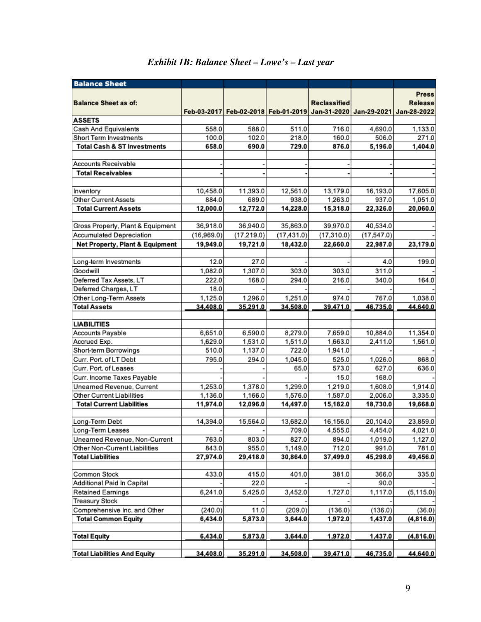| <b>Balance Sheet</b>                                   |                     |                     |                                                                         |                     |                     |                     |
|--------------------------------------------------------|---------------------|---------------------|-------------------------------------------------------------------------|---------------------|---------------------|---------------------|
|                                                        |                     |                     |                                                                         |                     |                     | <b>Press</b>        |
| <b>Balance Sheet as of:</b>                            |                     |                     |                                                                         | <b>Reclassified</b> |                     | Release             |
|                                                        |                     |                     | Feb-03-2017 Feb-02-2018 Feb-01-2019 Jan-31-2020 Jan-29-2021 Jan-28-2022 |                     |                     |                     |
| <b>ASSETS</b>                                          |                     |                     |                                                                         |                     |                     |                     |
| Cash And Equivalents                                   | 558.0               | 588.0               | 511.0                                                                   | 716.0               | 4,690.0             | 1,133.0             |
| Short Term Investments                                 | 100.0               | 102.0               | 218.0                                                                   | 160.0               | 506.0               | 271.0               |
| <b>Total Cash &amp; ST Investments</b>                 | 658.0               | 690.0               | 729.0                                                                   | 876.0               | 5,196.0             | 1,404.0             |
| <b>Accounts Receivable</b>                             |                     |                     |                                                                         |                     |                     |                     |
| <b>Total Receivables</b>                               |                     |                     |                                                                         |                     |                     |                     |
| Inventory                                              | 10,458.0            | 11,393.0            | 12,561.0                                                                | 13,179.0            | 16,193.0            | 17,605.0            |
| Other Current Assets                                   | 884.0               | 689.0               | 938.0                                                                   | 1,263.0             | 937.0               | 1,051.0             |
| <b>Total Current Assets</b>                            | 12,000.0            | 12,772.0            | 14,228.0                                                                | 15,318.0            | 22,326.0            | 20,060.0            |
|                                                        |                     |                     |                                                                         |                     |                     |                     |
| Gross Property, Plant & Equipment                      | 36,918.0            | 36,940.0            | 35,863.0                                                                | 39,970.0            | 40,534.0            |                     |
| <b>Accumulated Depreciation</b>                        | (16,969.0)          | (17, 219.0)         | (17, 431.0)                                                             | (17, 310.0)         | (17, 547.0)         |                     |
| Net Property, Plant & Equipment                        | 19,949.0            | 19,721.0            | 18,432.0                                                                | 22,660.0            | 22,987.0            | 23,179.0            |
| Long-term Investments                                  | 12.0                | 27.0                |                                                                         |                     | 4.0                 | 199.0               |
| Goodwill                                               | 1,082.0             | 1,307.0             | 303.0                                                                   | 303.0               | 311.0               |                     |
| Deferred Tax Assets, LT                                | 222.0               | 168.0               | 294.0                                                                   | 216.0               | 340.0               | 164.0               |
| Deferred Charges, LT                                   | 18.0                |                     |                                                                         |                     |                     |                     |
| Other Long-Term Assets                                 | 1,125.0             | 1,296.0             | 1,251.0                                                                 | 974.0               | 767.0               | 1,038.0             |
| <b>Total Assets</b>                                    | 34,408.0            | 35,291.0            | 34,508.0                                                                | 39,471.0            | 46,735.0            | 44,640.0            |
|                                                        |                     |                     |                                                                         |                     |                     |                     |
| <b>LIABILITIES</b>                                     |                     |                     |                                                                         |                     |                     |                     |
| Accounts Payable                                       | 6,651.0             | 6,590.0             | 8,279.0                                                                 | 7.659.0             | 10,884.0            | 11,354.0            |
| Accrued Exp.                                           | 1,629.0             | 1,531.0             | 1,511.0                                                                 | 1,663.0             | 2,411.0             | 1,561.0             |
| Short-term Borrowings                                  | 510.0               | 1,137.0             | 722.0                                                                   | 1,941.0             |                     |                     |
| Curr. Port. of LT Debt                                 | 795.0               | 294.0               | 1,045.0                                                                 | 525.0               | 1,026.0             | 868.0               |
| Curr. Port. of Leases                                  |                     |                     | 65.0                                                                    | 573.0               | 627.0               | 636.0               |
| Curr. Income Taxes Payable                             |                     |                     |                                                                         | 15.0                | 168.0               |                     |
| Unearned Revenue, Current<br>Other Current Liabilities | 1,253.0             | 1,378.0             | 1,299.0<br>1,576.0                                                      | 1,219.0             | 1,608.0             | 1,914.0             |
| <b>Total Current Liabilities</b>                       | 1,136.0<br>11,974.0 | 1,166.0<br>12,096.0 | 14,497.0                                                                | 1,587.0<br>15,182.0 | 2,006.0<br>18,730.0 | 3,335.0<br>19,668.0 |
|                                                        |                     |                     |                                                                         |                     |                     |                     |
| Long-Term Debt                                         | 14,394.0            | 15,564.0            | 13,682.0                                                                | 16,156.0            | 20,104.0            | 23,859.0            |
| Long-Term Leases                                       |                     |                     | 709.0                                                                   | 4,555.0             | 4,454.0             | 4,021.0             |
| Unearned Revenue, Non-Current                          | 763.0               | 803.0               | 827.0                                                                   | 894.0               | 1,019.0             | 1,127.0             |
| Other Non-Current Liabilities                          | 843.0               | 955.0               | 1,149.0                                                                 | 712.0               | 991.0               | 781.0               |
| <b>Total Liabilities</b>                               | 27,974.0            | 29,418.0            | 30,864.0                                                                | 37,499.0            | 45,298.0            | 49,456.0            |
| Common Stock                                           | 433.0               | 415.0               | 401.0                                                                   | 381.0               | 366.0               | 335.0               |
| Additional Paid In Capital                             |                     | 22.0                |                                                                         |                     | 90.0                |                     |
| <b>Retained Earnings</b>                               | 6,241.0             | 5,425.0             | 3,452.0                                                                 | 1,727.0             | 1,117.0             | (5, 115.0)          |
| <b>Treasury Stock</b>                                  |                     |                     |                                                                         |                     |                     |                     |
| Comprehensive Inc. and Other                           | (240.0)             | 11.0                | (209.0)                                                                 | (136.0)             | (136.0)             | (36.0)              |
| <b>Total Common Equity</b>                             | 6,434.0             | 5,873.0             | 3,644.0                                                                 | 1,972.0             | 1,437.0             | (4,816.0)           |
|                                                        |                     |                     |                                                                         |                     |                     |                     |
| <b>Total Equity</b>                                    | 6,434.0             | 5,873.0             | 3,644.0                                                                 | 1,972.0             | 1,437.0             | (4,816.0)           |
| <b>Total Liabilities And Equity</b>                    | 34,408.0            | 35,291.0            | 34,508.0                                                                | 39,471.0            | 46,735.0            | 44,640.0            |

# *Exhibit 1B: Balance Sheet – Lowe's – Last year*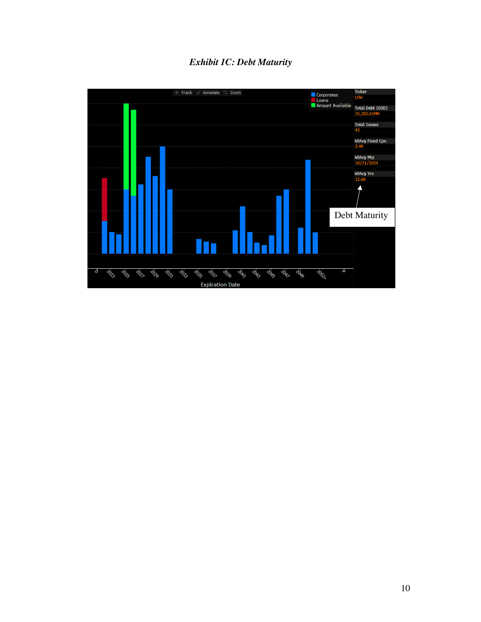# *Exhibit 1C: Debt Maturity*

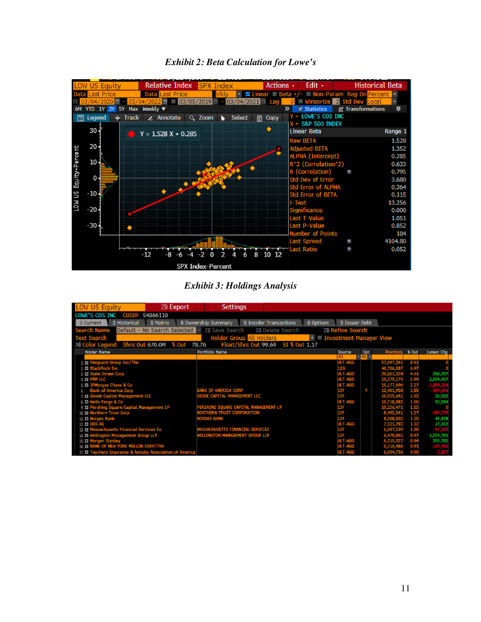

### *Exhibit 2: Beta Calculation for Lowe's*

### *Exhibit 3: Holdings Analysis*

| LOW US Equity<br>25 Export                                 | <b>Settings</b>                                       |                                      |     |                |                     |                   |
|------------------------------------------------------------|-------------------------------------------------------|--------------------------------------|-----|----------------|---------------------|-------------------|
| LOWE'S COS INC<br><b>CUSIP</b><br>54866110                 |                                                       |                                      |     |                |                     |                   |
| 2 Historical<br>1) Current<br>3 Matrix                     | <b>\$ Insider Transactions</b><br>4 Ownership Summary | 6 Options<br>7) Issuer Debt          |     |                |                     |                   |
| Search Name Default - No Search Selected   21) Save Search | 22) Delete Search                                     | 23) Refine Search                    |     |                |                     |                   |
| <b>Text Search</b>                                         | <b>Holder Group All Holders</b>                       | $\mathbf{r}$ Investment Manager View |     |                |                     |                   |
| 24) Color Legend Shrs Out 670.0M % Out 78.76               | Float/Shrs Out 99.69 SI & Out 1.17                    |                                      |     |                |                     |                   |
| <b>Holder Name</b>                                         | Portfolio Name                                        | Source                               | Opt | Position & Out |                     | Latest Chg        |
|                                                            |                                                       |                                      |     |                |                     |                   |
| 1 El Vanguard Group Inc/The                                |                                                       | ULT-AGG                              |     | 57,697,261     | 8.61                |                   |
| 2 BlackRock Inc.                                           |                                                       | <b>13G</b>                           |     | 46,706,387     | 6.97                |                   |
| 3. D State Street Corp                                     |                                                       | ULT-AGG                              |     |                | 4.6%                | 296,707           |
| 4 FMR LLC                                                  |                                                       | ULT-AGG                              |     | 26.375.175     | 3.94                | 1,034,407         |
| 5. El JPMorgan Chase & Co                                  |                                                       | ULT-AGG                              |     | 15,177,69      |                     | i www.            |
| 6. Bank of America Corp                                    | <b>BANK OF AMERICA CORP</b>                           | 13F                                  | v   | 12,401,93      | $\frac{2.27}{1.85}$ | anayan<br>EEA EAR |
| 7. El Geode Capital Management LLC                         | GEODE CAPITAL MANAGEMENT LLC                          | 13 F                                 |     | 10,925,641     | 1.63                | 26,502            |
| & IT Wells Fargo & Co                                      |                                                       | ULT-AGG                              |     | 10,718,083     | 1.60                | 92,554            |
| 9. D Pershing Square Capital Management LP                 | PERSHING SQUARE CAPITAL MANAGEMENT LP                 | 13F                                  |     |                | 1.53                |                   |
| 10. B Northern Trust Corp                                  | <b>NORTHERN TRUST CORPORATION</b>                     | 13F                                  |     |                | 1.27                | -384,29           |
| 11. Norges Bank                                            | Norges Bank                                           | 13F                                  |     |                | 120                 | 45,878            |
| 12 UBS AG                                                  |                                                       | ULT-AGG                              |     | 7,521,78%      | 1.12                | 27,432            |
| 13. III Massachusetts Financial Services Co                | MASSACHUSETTS FINANCIAL SERVICES                      | 13F                                  |     |                | 1.00                | 47,39             |
| 14 C Wellington Management Group LLP                       | <b>WELLINGTON MANAGEMENT GROUP LLP</b>                | 13F                                  |     | 6.470.00       | 0.97                | 1,376,791         |
| 15. Morgan Stanley                                         |                                                       | ULT-AGG                              |     | 6 315 327      | 0.94                | 355,781           |
| 16. TH BANK OF NEW YORK MELLON CORP/THE                    |                                                       | ULT-AGG                              |     | 6,116,48       | 0.91                | -197,416          |
| 17. IT Teachers Insurance & Annuity Association of America |                                                       | ULT-AGG                              |     | 6,004,73       | 0.90                |                   |